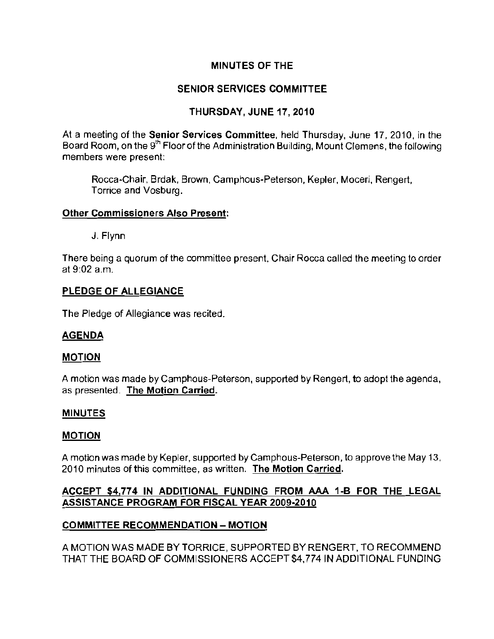## MINUTES OF THE

## SENIOR SERVICES COMMITTEE

## THURSDAY, JUNE 17,2010

At a meeting of the Senior Services Committee, held Thursday, June 17, 2010, in the Board Room, on the 9<sup>th</sup> Floor of the Administration Building, Mount Clemens, the following members were present:

Rocca-Chair, Brdak, Brown. Camphous-Peterson, Kepler. Moceri. Rengert, Torrice and Vosburg.

#### Other Commissioners Also Present:

J. Flynn

There being a quorum of the committee present, Chair Rocca called the meeting to order at 9:02 a.m.

#### PLEDGE OF ALLEGIANCE

The Pledge of Allegiance was recited.

### AGENDA

#### MOTION

A motion was made by Camphous-Peterson, supported by Rengert, to adopt the agenda. as presented. The Motion Carried.

#### MINUTES

#### MOTION

A motion was made by Kepler, supported by Camphous-Pelerson, to approve the May 13. 2010 minutes ofthis committee, as written. **The Motion Carried.** 

## ACCEPT \$4,774 IN ADDITIONAL FUNDING FROM AAA 1-B FOR THE LEGAL ASSISTANCE PROGRAM FOR FISCAL YEAR 2009-2010

### COMMITTEE RECOMMENDATION - MOTION

A MOTION WAS MADE BY TORRICE. SUPPORTED BY RENGERT. TO RECOMMEND THAT THE BOARD OF COMMISSIONERS ACCEPT \$4.774 IN ADDITIONAL FUNDING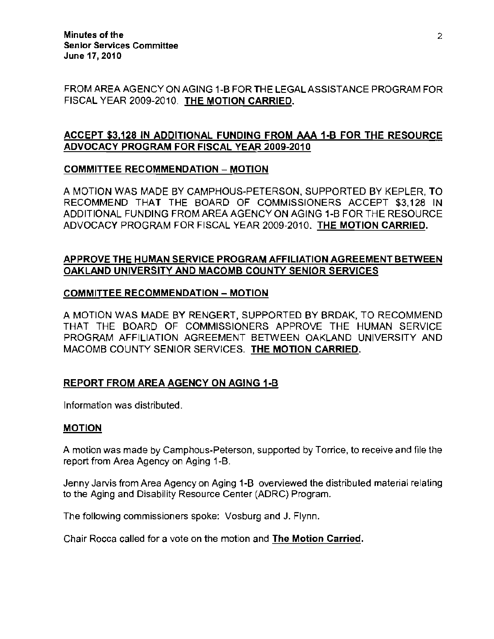FROM AREA AGENCY ON AGING 1-B FOR THE LEGAL ASSISTANCE PROGRAM FOR FISCAL YEAR 2009-2010. THE MOTION CARRIED.

## ACCEPT \$3,128 IN ADDITIONAL FUNDING FROM AAA 1-B FOR THE RESOURCE ADVOCACY PROGRAM FOR FISCAL YEAR 2009-2010

### COMMITTEE RECOMMENDATION - MOTION

A MOTION WAS MADE BY CAMPHOUS-PETERSON, SUPPORTED BY KEPLER, TO RECOMMEND THAT THE BOARD OF COMMISSIONERS ACCEPT \$3,128 IN ADDITIONAL FUNDING FROM AREA AGENCY ON AGING 1-B FOR THE RESOURCE ADVOCACY PROGRAM FOR FISCAL YEAR 2009-2010. THE MOTION CARRIED.

## APPROVE THE HUMAN SERVICE PROGRAM AFFILIATION AGREEMENT BETWEEN OAKLAND UNIVERSITY AND MACOMB COUNTY SENIOR SERVICES

### COMMITTEE RECOMMENDATION - MOTION

A MOTION WAS MADE BY RENGERT, SUPPORTED BY BRDAK, TO RECOMMEND THAT THE BOARD OF COMMISSIONERS APPROVE THE HUMAN SERVICE PROGRAM AFFILIATION AGREEMENT BETWEEN OAKLAND UNIVERSITY AND MACOMB COUNTY SENIOR SERVICES. THE MOTION CARRIED.

### REPORT FROM AREA AGENCY ON AGING 1-B

Information was distributed.

#### MOTION

A motion was made by Camphous-Peterson. supported by Torrice, to receive and file the report from Area Agency on Aging 1-B.

Jenny Jarvis from Area Agency on Aging **1-8** overviewed the distributed material relating to the Aging and Disability Resource Center (ADRC) Program.

The following commissioners spoke: Vosburg and J. Flynn.

Chair Rocca called for a vote on the motion and **The Motion Carried.**